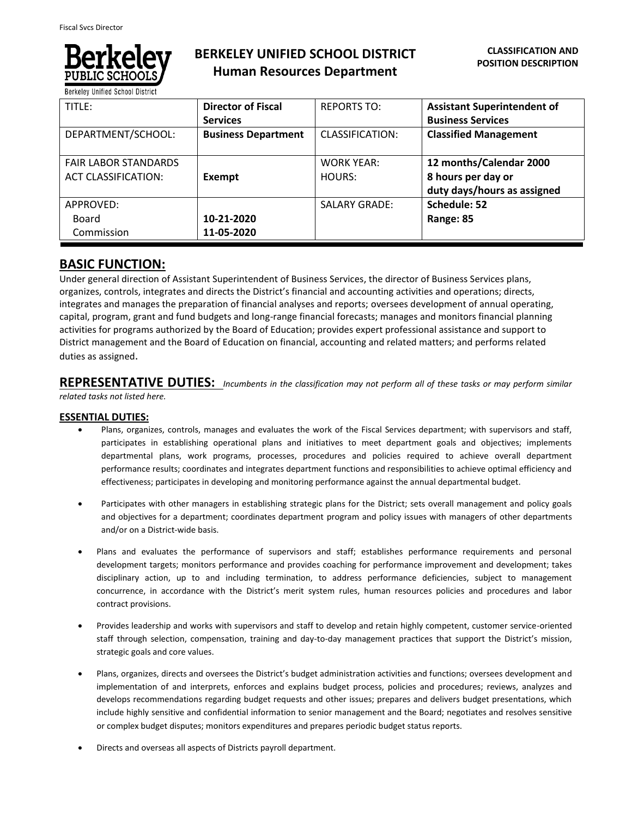

**Berkeley Unified School District** 

# **BERKELEY UNIFIED SCHOOL DISTRICT Human Resources Department**

| TITLE:                                                    | <b>Director of Fiscal</b><br><b>Services</b> | <b>REPORTS TO:</b>          | <b>Assistant Superintendent of</b><br><b>Business Services</b>               |
|-----------------------------------------------------------|----------------------------------------------|-----------------------------|------------------------------------------------------------------------------|
| DEPARTMENT/SCHOOL:                                        | <b>Business Department</b>                   | CLASSIFICATION:             | <b>Classified Management</b>                                                 |
| <b>FAIR LABOR STANDARDS</b><br><b>ACT CLASSIFICATION:</b> | Exempt                                       | <b>WORK YEAR:</b><br>HOURS: | 12 months/Calendar 2000<br>8 hours per day or<br>duty days/hours as assigned |
| APPROVED:<br>Board<br>Commission                          | 10-21-2020<br>11-05-2020                     | <b>SALARY GRADE:</b>        | Schedule: 52<br>Range: 85                                                    |

## **BASIC FUNCTION:**

Under general direction of Assistant Superintendent of Business Services, the director of Business Services plans, organizes, controls, integrates and directs the District's financial and accounting activities and operations; directs, integrates and manages the preparation of financial analyses and reports; oversees development of annual operating, capital, program, grant and fund budgets and long-range financial forecasts; manages and monitors financial planning activities for programs authorized by the Board of Education; provides expert professional assistance and support to District management and the Board of Education on financial, accounting and related matters; and performs related duties as assigned.

**REPRESENTATIVE DUTIES:** *Incumbents in the classification may not perform all of these tasks or may perform similar related tasks not listed here.*

## **ESSENTIAL DUTIES:**

- Plans, organizes, controls, manages and evaluates the work of the Fiscal Services department; with supervisors and staff, participates in establishing operational plans and initiatives to meet department goals and objectives; implements departmental plans, work programs, processes, procedures and policies required to achieve overall department performance results; coordinates and integrates department functions and responsibilities to achieve optimal efficiency and effectiveness; participates in developing and monitoring performance against the annual departmental budget.
- Participates with other managers in establishing strategic plans for the District; sets overall management and policy goals and objectives for a department; coordinates department program and policy issues with managers of other departments and/or on a District-wide basis.
- Plans and evaluates the performance of supervisors and staff; establishes performance requirements and personal development targets; monitors performance and provides coaching for performance improvement and development; takes disciplinary action, up to and including termination, to address performance deficiencies, subject to management concurrence, in accordance with the District's merit system rules, human resources policies and procedures and labor contract provisions.
- Provides leadership and works with supervisors and staff to develop and retain highly competent, customer service-oriented staff through selection, compensation, training and day-to-day management practices that support the District's mission, strategic goals and core values.
- Plans, organizes, directs and oversees the District's budget administration activities and functions; oversees development and implementation of and interprets, enforces and explains budget process, policies and procedures; reviews, analyzes and develops recommendations regarding budget requests and other issues; prepares and delivers budget presentations, which include highly sensitive and confidential information to senior management and the Board; negotiates and resolves sensitive or complex budget disputes; monitors expenditures and prepares periodic budget status reports.
- Directs and overseas all aspects of Districts payroll department.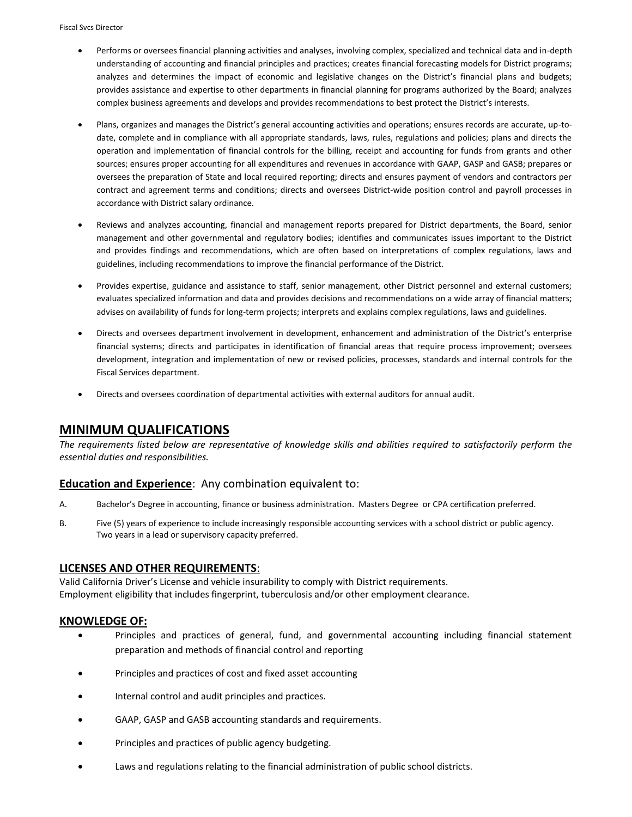- Performs or oversees financial planning activities and analyses, involving complex, specialized and technical data and in-depth understanding of accounting and financial principles and practices; creates financial forecasting models for District programs; analyzes and determines the impact of economic and legislative changes on the District's financial plans and budgets; provides assistance and expertise to other departments in financial planning for programs authorized by the Board; analyzes complex business agreements and develops and provides recommendations to best protect the District's interests.
- Plans, organizes and manages the District's general accounting activities and operations; ensures records are accurate, up-todate, complete and in compliance with all appropriate standards, laws, rules, regulations and policies; plans and directs the operation and implementation of financial controls for the billing, receipt and accounting for funds from grants and other sources; ensures proper accounting for all expenditures and revenues in accordance with GAAP, GASP and GASB; prepares or oversees the preparation of State and local required reporting; directs and ensures payment of vendors and contractors per contract and agreement terms and conditions; directs and oversees District-wide position control and payroll processes in accordance with District salary ordinance.
- Reviews and analyzes accounting, financial and management reports prepared for District departments, the Board, senior management and other governmental and regulatory bodies; identifies and communicates issues important to the District and provides findings and recommendations, which are often based on interpretations of complex regulations, laws and guidelines, including recommendations to improve the financial performance of the District.
- Provides expertise, guidance and assistance to staff, senior management, other District personnel and external customers; evaluates specialized information and data and provides decisions and recommendations on a wide array of financial matters; advises on availability of funds for long-term projects; interprets and explains complex regulations, laws and guidelines.
- Directs and oversees department involvement in development, enhancement and administration of the District's enterprise financial systems; directs and participates in identification of financial areas that require process improvement; oversees development, integration and implementation of new or revised policies, processes, standards and internal controls for the Fiscal Services department.
- Directs and oversees coordination of departmental activities with external auditors for annual audit.

## **MINIMUM QUALIFICATIONS**

*The requirements listed below are representative of knowledge skills and abilities required to satisfactorily perform the essential duties and responsibilities.*

## **Education and Experience**: Any combination equivalent to:

- A. Bachelor's Degree in accounting, finance or business administration. Masters Degree or CPA certification preferred.
- B. Five (5) years of experience to include increasingly responsible accounting services with a school district or public agency. Two years in a lead or supervisory capacity preferred.

## **LICENSES AND OTHER REQUIREMENTS**:

Valid California Driver's License and vehicle insurability to comply with District requirements. Employment eligibility that includes fingerprint, tuberculosis and/or other employment clearance.

## **KNOWLEDGE OF:**

- Principles and practices of general, fund, and governmental accounting including financial statement preparation and methods of financial control and reporting
- Principles and practices of cost and fixed asset accounting
- Internal control and audit principles and practices.
- GAAP, GASP and GASB accounting standards and requirements.
- Principles and practices of public agency budgeting.
- Laws and regulations relating to the financial administration of public school districts.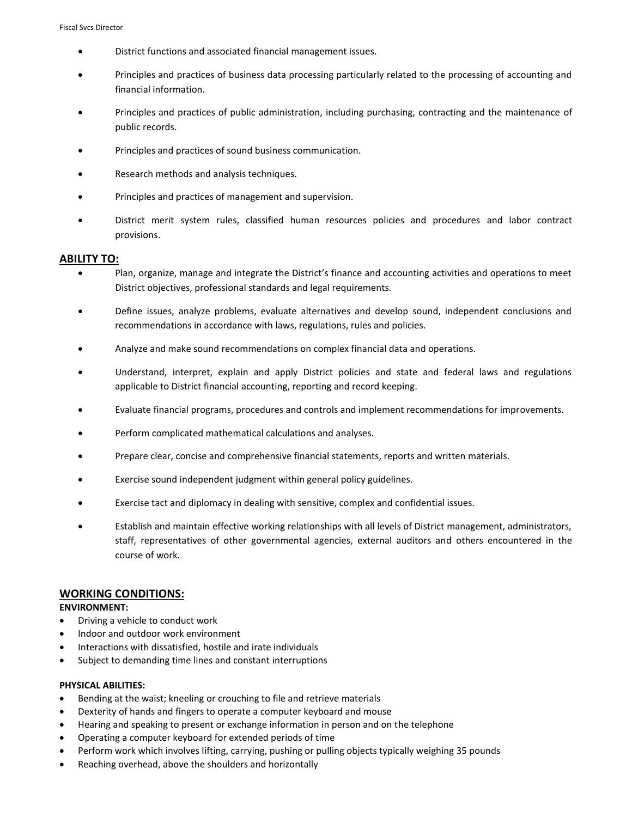- District functions and associated financial management issues.
- Principles and practices of business data processing particularly related to the processing of accounting and financial information.
- Principles and practices of public administration, including purchasing, contracting and the maintenance of public records.
- Principles and practices of sound business communication.
- Research methods and analysis techniques.
- Principles and practices of management and supervision.
- District merit system rules, classified human resources policies and procedures and labor contract provisions.

#### **ABILITY TO:**

- Plan, organize, manage and integrate the District's finance and accounting activities and operations to meet District objectives, professional standards and legal requirements.
- Define issues, analyze problems, evaluate alternatives and develop sound, independent conclusions and recommendations in accordance with laws, regulations, rules and policies.
- Analyze and make sound recommendations on complex financial data and operations.
- Understand, interpret, explain and apply District policies and state and federal laws and regulations applicable to District financial accounting, reporting and record keeping.
- Evaluate financial programs, procedures and controls and implement recommendations for improvements.
- Perform complicated mathematical calculations and analyses.
- Prepare clear, concise and comprehensive financial statements, reports and written materials.
- Exercise sound independent judgment within general policy guidelines.
- Exercise tact and diplomacy in dealing with sensitive, complex and confidential issues.
- Establish and maintain effective working relationships with all levels of District management, administrators, staff, representatives of other governmental agencies, external auditors and others encountered in the course of work.

#### **WORKING CONDITIONS:**

#### **ENVIRONMENT:**

- Driving a vehicle to conduct work
- Indoor and outdoor work environment
- Interactions with dissatisfied, hostile and irate individuals
- Subject to demanding time lines and constant interruptions

#### **PHYSICAL ABILITIES:**

- Bending at the waist; kneeling or crouching to file and retrieve materials
- Dexterity of hands and fingers to operate a computer keyboard and mouse
- Hearing and speaking to present or exchange information in person and on the telephone
- Operating a computer keyboard for extended periods of time
- Perform work which involves lifting, carrying, pushing or pulling objects typically weighing 35 pounds
- Reaching overhead, above the shoulders and horizontally